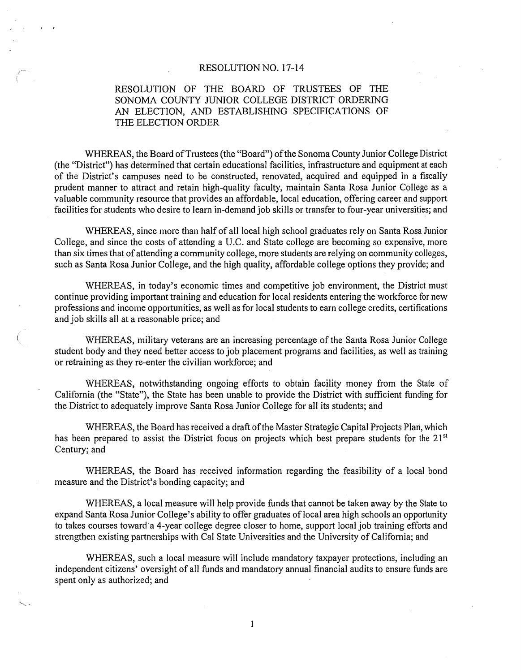#### RESOLUTION NO. 17-14

# RESOLUTION OF THE BOARD OF TRUSTEES OF THE SONOMA COUNTY JUNIOR COLLEGE DISTRICT ORDERING AN ELECTION, AND ESTABLISHING SPECIFICATIONS OF THE ELECTION ORDER

WHEREAS, the Board of Trustees (the "Board") of the Sonoma County Junior College District (the "District") has determined that certain educational facilities, infrastructure and equipment at each of the District's campuses need to be constructed, renovated, acquired and equipped in a fiscally prudent manner to attract and retain high-quality faculty, maintain Santa Rosa Junior College as a valuable community resource that provides an affordable, local education, offering career and support facilities for students who desire to learn in-demand job skills or transfer to four-year universities; and

WHEREAS, since more than half of all local high school graduates rely on Santa Rosa Junior College, and since the costs of attending a U .C. and State college are becoming so expensive, more than six times that of attending a community college, more students are relying on community colleges, such as Santa Rosa Junior College, and the high quality, affordable college options they provide; and

WHEREAS, in today's economic times and competitive job environment, the District must continue providing important training and education for local residents entering the workforce for new professions and income opportunities, as well as for local students to earn college credits, certifications and job skills all at a reasonable price; and

WHEREAS, military veterans are an increasing percentage of the Santa Rosa Junior College student body and they need better access to job placement programs and facilities, as well as training or retraining as they re-enter the civilian workforce; and

WHEREAS, notwithstanding ongoing efforts to obtain facility money from the State of California (the "State"), the State has been unable to provide the District with sufficient funding for the District to adequately improve Santa Rosa Junior College for all its students; and

WHEREAS, the Board has received a draft of the Master Strategic Capital Projects Plan, which has been prepared to assist the District focus on projects which best prepare students for the 21<sup>st</sup> Century; and

WHEREAS, the Board has received information regarding the feasibility of a local bond measure and the District's bonding capacity; and

WHEREAS, a local measure will help provide funds that cannot be taken away by the State to expand Santa Rosa Junior College's ability to offer graduates of local area high schools an opportunity to takes courses toward a 4-year college degree closer to home, support local job training efforts and strengthen existing partnerships with Cal State Universities and the University of California; and

WHEREAS, such a local measure will include mandatory taxpayer protections, including an independent citizens' oversight of all funds and mandatory annual financial audits to ensure funds are spent only as authorized; and

 $\mathbf{1}$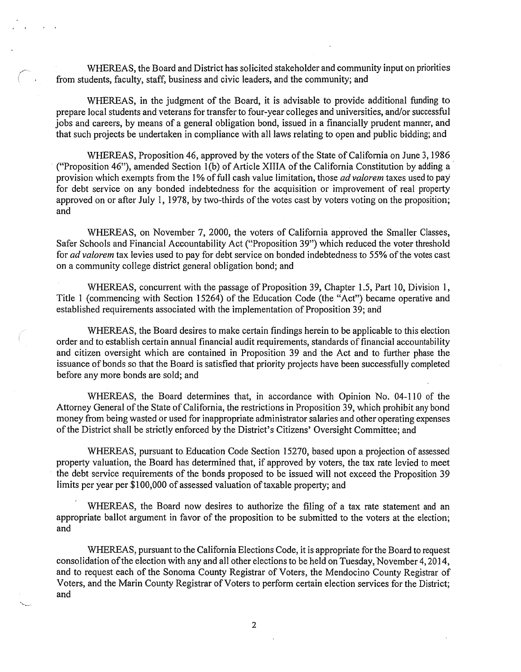WHEREAS, the Board and District has solicited stakeholder and community input on priorities from students, faculty, staff, business and civic leaders, and the community; and

WHEREAS, in the judgment of the Board, it is advisable to provide additional funding to prepare local students and veterans for transfer to four-year colleges and universities, and/or successful jobs and careers, by means of a general obligation bond, issued in a financially prudent manner, and that such projects be undertaken in compliance with all laws relating to open and public bidding; and

WHEREAS, Proposition 46, approved by the voters of the State of California on June 3, 1986 ("Proposition 46"), amended Section 1(b) of Article XIIIA of the California Constitution by adding a provision which exempts from the 1% of full cash value limitation, those *ad valorem* taxes used to pay for debt service on any bonded indebtedness for the acquisition or improvement of real property approved on or after July 1, 1978, by two-thirds of the votes cast by voters voting on the proposition; and

WHEREAS, on November 7, 2000, the voters of California approved the Smaller Classes, Safer Schools and Financial Accountability Act ("Proposition 39") which reduced the voter threshold for *ad valorem* tax levies used to pay for debt service on bonded indebtedness to 55% of the votes cast on a community college district general obligation bond; and

WHEREAS, concurrent with the passage of Proposition 39, Chapter 1.5, Part 10, Division 1, Title 1 (commencing with Section 15264) of the Education Code (the "Act") became operative and established requirements associated with the implementation of Proposition 39; and

WHEREAS, the Board desires to make certain findings herein to be applicable to this election order and to establish certain annual financial audit requirements, standards of financial accountability and citizen oversight which are contained in Proposition 39 and the Act and to further phase the issuance of bonds so that the Board is satisfied that priority projects have been successfully completed before any more bonds are sold; and

WHEREAS, the Board determines that, in accordance with Opinion No. 04-110 of the Attorney General of the State of California, the restrictions in Proposition 39, which prohibit any bond money from being wasted or used for inappropriate administrator salaries and other operating expenses of the District shall be strictly enforced by the District's Citizens' Oversight Committee; and

WHEREAS, pursuant to Education Code Section 15270, based upon a projection of assessed property valuation, the Board has determined that, if approved by voters, the tax rate levied to meet the debt service requirements of the bonds proposed to be issued will not exceed the Proposition 39 limits per year per \$100,000 of assessed valuation of taxable property; and

WHEREAS, the Board now desires to authorize the filing of a tax rate statement and an appropriate ballot argument in favor of the proposition to be submitted to the voters at the election; and

WHEREAS, pursuant to the California Elections Code, it is appropriate for the Board to request consolidation ofthe election with any and all other elections to be held on Tuesday, November 4, 2014, and to request each of the Sonoma County Registrar of Voters, the Mendocino County Registrar of Voters, and the Marin County Registrar of Voters to perform certain election services for the District; and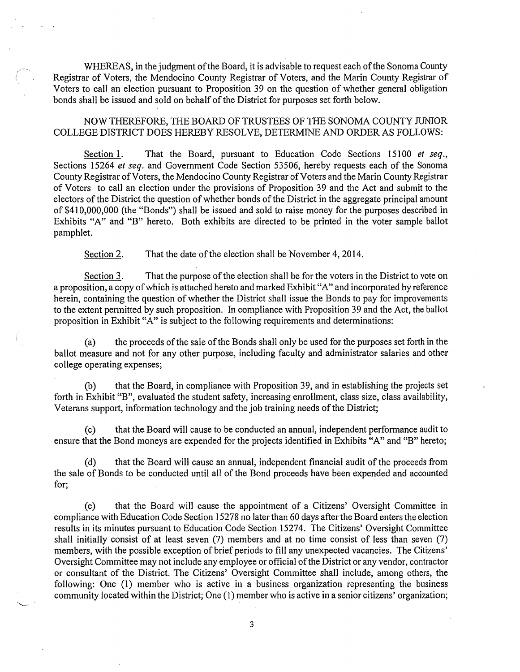WHEREAS, in the judgment of the Board, it is advisable to request each of the Sonoma County Registrar of Voters, the Mendocino County Registrar of Voters, and the Marin County Registrar of Voters to call an election pursuant to Proposition 39 on the question of whether general obligation bonds shall be issued and sold on behalf of the District for purposes set forth below.

NOW THEREFORE, THE BOARD OF TRUSTEES OF THE SONOMA COUNTY JUNIOR COLLEGE DISTRICT DOES HEREBY RESOLVE, DETERMINE AND ORDER AS FOLLOWS:

Section 1. That the Board, pursuant to Education Code Sections 15100 *et seq.,*  Sections 15264 *et seq.* and Government Code Section 53506, hereby requests each of the Sonoma County Registrar of Voters, the Mendocino County Registrar of Voters and the Marin County Registrar of Voters to call an election under the provisions of Proposition 39 and the Act and submit to the electors of the District the question of whether bonds of the District in the aggregate principal amount of \$410,000,000 (the "Bonds") shall be issued and sold to raise money for the purposes described in Exhibits "A" and "B" hereto. Both exhibits are directed to be printed in the voter sample ballot pamphlet.

Section 2. That the date of the election shall be November 4, 2014.

Section 3. That the purpose of the election shall be for the voters in the District to vote on a proposition, a copy of which is attached hereto and marked Exhibit "A" and incorporated by reference herein, containing the question of whether the District shall issue the Bonds to pay for improvements to the extent permitted by such proposition. In compliance with Proposition 39 and the Act, the ballot proposition in Exhibit "A" is subject to the following requirements and determinations:

(a) the proceeds ofthe sale ofthe Bonds shall only be used for the purposes set forth in the ballot measure and not for any other purpose, including faculty and administrator salaries and other college operating expenses;

(b) that the Board, in compliance with Proposition 39, and in establishing the projects set forth in Exhibit "B", evaluated the student safety, increasing enrollment, class size, class availability, Veterans support, information technology and the job training needs of the District;

(c) that the.Board will cause to be conducted an annual, independent performance audit to ensure that the Bond moneys are expended for the projects identified in Exhibits "A" and "B" hereto;

(d) that the Board will cause an annual, independent financial audit of the proceeds from the sale of Bonds to be conducted until all of the Bond proceeds have been expended and accounted for;

(e) that the Board will cause the appointment of a Citizens' Oversight Committee in compliance with Education Code Section 15278 no later than 60 days after the Board enters the election results in its minutes pursuant to Education Code Section 15274. The Citizens' Oversight Committee shall initially consist of at least seven (7) members and at no time consist of less than seven (7) members, with the possible exception of brief periods to fill any unexpected vacancies. The Citizens' Oversight Committee may not include any employee or official of the District or any vendor, contractor or consultant of the District. The Citizens' Oversight Committee shall include, among others, the following: One (1) member who is active in a business organization representing the business community located within the District; One (1) member who is active in a senior citizens' organization;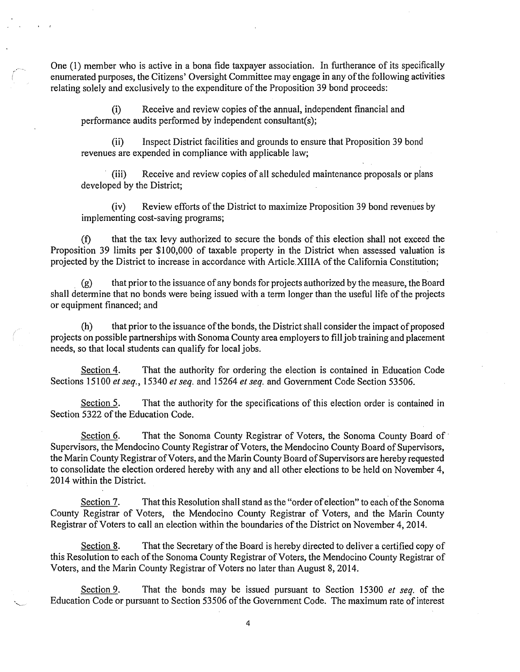One (I) member who is active in a bona fide taxpayer association. In furtherance of its specifically enumerated purposes, the Citizens' Oversight Committee may engage in any ofthe following activities relating solely and exclusively to the expenditure of the Proposition 39 bond proceeds:

(i) Receive and review copies of the annual, independent financial and performance audits performed by independent consultant(s);

(ii) Inspect District facilities and grounds to ensure that Proposition 39 bond revenues are expended in compliance with applicable law;

(iii) Receive and review copies of all scheduled maintenance proposals or plans developed by the District;

(iv) Review efforts of the District to maximize Proposition 39 bond revenues by implementing cost-saving programs;

(f) that the tax levy authorized to secure the bonds of this election shall not exceed the Proposition 39 limits per \$100,000 of taxable property in the District when assessed valuation is projected by the District to increase in accordance with Article.XIIIA of the California Constitution;

 $(g)$  that prior to the issuance of any bonds for projects authorized by the measure, the Board shall determine that no bonds were being issued with a term longer than the useful life of the projects or equipment financed; and

(h) that prior to the issuance of the bonds, the District shall consider the impact of proposed projects on possible partnerships with Sonoma County area employers to fill job training and placement needs, so that local students can qualify for local jobs.

Section 4. That the authority for ordering the election is contained in Education Code Sections 15100 *et seq.,* 15340 *et seq.* and 15264 *et seq.* and Government Code Section 53506.

Section 5. That the authority for the specifications of this election order is contained in Section 5322 of the Education Code.

Section 6. That the Sonoma County Registrar of Voters, the Sonoma County Board of Supervisors, the Mendocino County Registrar of Voters, the Mendocino County Board of Supervisors, the Marin County Registrar of Voters, and the Marin County Board of Supervisors are hereby requested to consolidate the election ordered hereby with any and all other elections to be held on November 4, 2014 within the District.

Section 7. That this Resolution shall stand as the "order ofelection" to each ofthe Sonoma County Registrar of Voters, the Mendocino County Registrar of Voters, and the Marin County Registrar of Voters to call an election within the boundaries of the District on November 4, 2014.

Section 8. That the Secretary of the Board is hereby directed to deliver a certified copy of this Resolution to each of the Sonoma County Registrar of Voters, the Mendocino County Registrar of Voters, and the Marin County Registrar of Voters no later than August 8, 2014.

Section 9. That the bonds may be issued pursuant to Section 15300 *et seq.* of the Education Code or pursuant to Section 53506 of the Government Code. The maximum rate of interest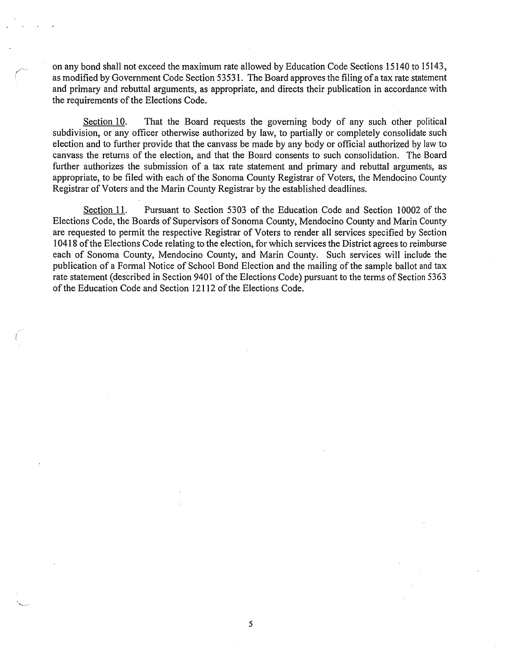on any bond shall not exceed the maximum rate allowed by Education Code Sections 15140 to 15143, as modified by Government Code Section 53531. The Board approves the filing ofa tax rate statement and primary and rebuttal arguments, as appropriate, and directs their publication in accordance with the requirements of the Elections Code.

*/*  /

> Section 10. That the Board requests the governing body of any such other political subdivision, or any officer otherwise authorized by law, to partially or completely consolidate such election and to further provide that the canvass be made by any body or official authorized by law to canvass the returns of the election, and that the Board consents to such consolidation. The Board further authorizes the submission of a tax rate statement and primary and rebuttal arguments, as appropriate, to be filed with each of the Sonoma County Registrar of Voters, the Mendocino County Registrar of Voters and the Marin County Registrar by the established deadlines.

> Section 11. Pursuant to Section 5303 of the Education Code and Section 10002 of the Elections Code, the Boards of Supervisors of Sonoma County, Mendocino County and Marin County are requested to permit the respective Registrar of Voters to render all services specified by Section 10418 ofthe Elections Code relating to the election, for which services the District agrees to reimburse each of Sonoma County, Mendocino County, and Marin County. Such services will include the publication of a Formal Notice of School Bond Election and the mailing of the sample ballot and tax rate statement (described in Section 9401 of the Elections Code) pursuant to the terms of Section 5363 of the Education Code and Section 12112 of the Elections Code.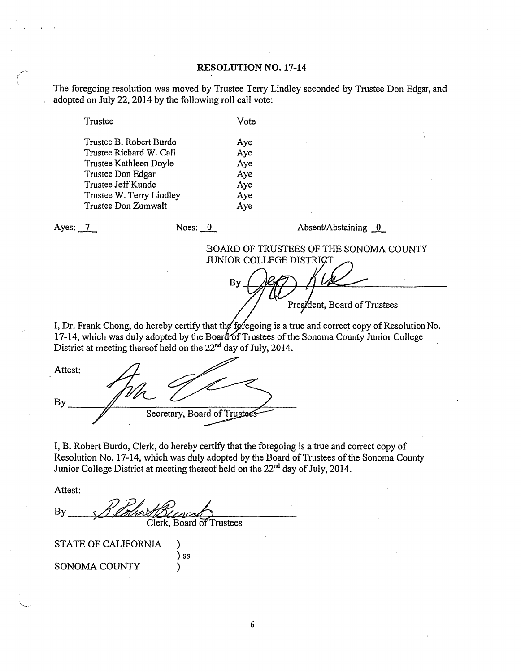### **RESOLUTION NO. 17-14**

The foregoing resolution was moved by Trustee Terry Lindley seconded by Trustee Don Edgar, and adopted on July 22, 2014 by the following roll call vote:

Trustee Vote

| Trustee B. Robert Burdo  | Aye |
|--------------------------|-----|
| Trustee Richard W. Call  | Aye |
| Trustee Kathleen Doyle   | Aye |
| Trustee Don Edgar        | Aye |
| Trustee Jeff Kunde       | Aye |
| Trustee W. Terry Lindley | Aye |
| Trustee Don Zumwalt      | Aye |

Ayes: 7\_ Noes: 0 Absent/ Abstaining 0

# BOARD OF TRUSTEES OF THE SONOMA COUNTY JUNIOR COLLEGE DISTRICT

By President, Board of Trustees

I, Dr. Frank Chong, do hereby certify that the foregoing is a true and correct copy of Resolution No. 17-14, which was duly adopted by the Board of Trustees of the Sonoma County Junior College District at meeting thereof held on the  $22<sup>nd</sup>$  day of July, 2014. I, Dr. Frank Chong, do hereby certify that the foregoing is a true at 17-14, which was duly adopted by the Board of Trustees of the Solution District at meeting thereof held on the  $22<sup>nd</sup>$  day of July, 2014.

By Secretary, Board of Trustees

I, B. Robert Burdo, Clerk, do hereby certify that the foregoing is a true and correct copy of Resolution No. 17-14, which was duly adopted by the Board of Trustees of the Sonoma County Junior College District at meeting thereof held on the 22<sup>nd</sup> day of July, 2014.

Attest:

 $By$ Clerk, Board of Trustees

) ss

STATE OF CALIFORNIA ) SONOMA COUNTY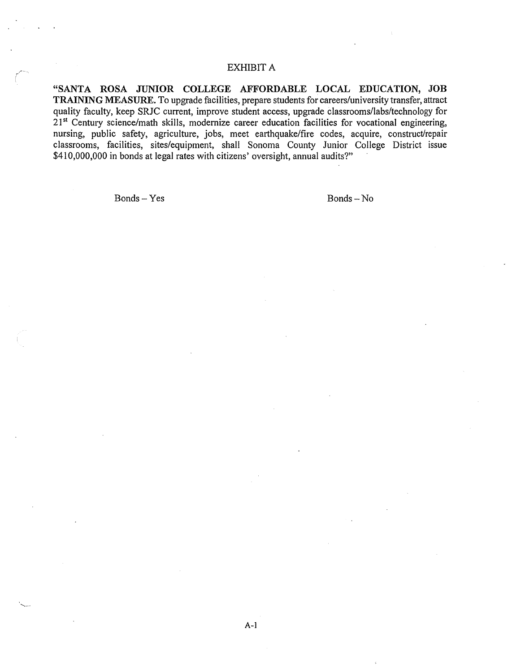# EXHIBIT A

**"SANTA ROSA JUNIOR COLLEGE AFFORDABLE LOCAL EDUCATION, JOB TRAINING MEASURE.** To upgrade facilities, prepare students for careers/university transfer, attract quality faculty, keep SRJC current, improve student access, upgrade classrooms/labs/technology for 21<sup>st</sup> Century science/math skills, modernize career education facilities for vocational engineering, nursing, public safety, agriculture, jobs, meet earthquake/fire codes, acquire, construct/repair classrooms, facilities, sites/equipment, shall Sonoma County Junior College District issue \$410,000,000 in bonds at legal rates with citizens' oversight, annual audits?"

Bonds-Yes Bonds-No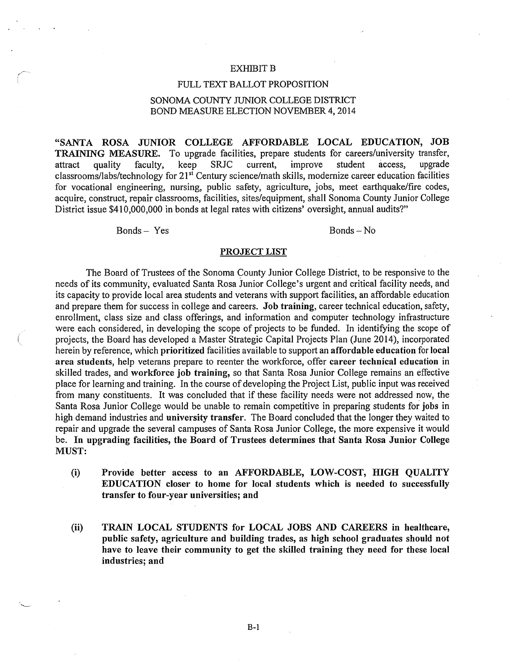#### EXHIBIT B

#### FULL TEXT BALLOT PROPOSITION

## SONOMA COUNTY JUNIOR COLLEGE DISTRICT BOND MEASURE ELECTION NOVEMBER 4, 2014

"SANTA ROSA JUNIOR COLLEGE AFFORDABLE LOCAL EDUCATION, JOB TRAINING MEASURE. To upgrade facilities, prepare students for careers/university transfer, attract quality faculty, keep SRJC current, improve student access, upgrade classrooms/labs/technology for 21st Century science/math skills, modernize career education facilities for vocational engineering, nursing, public safety, agriculture, jobs, meet earthquake/fire codes, acquire, construct, repair classrooms, facilities, sites/equipment, shall Sonoma County Junior College District issue \$410,000,000 in bonds at legal rates with citizens' oversight, annual audits?"

Bonds- Yes Bonds-No

#### PROJECT LIST

The Board of Trustees of the Sonoma County Junior College District, to be responsive to the needs of its community, evaluated Santa Rosa Junior College's urgent and critical facility needs, and its capacity to provide local area students and veterans with support facilities, an affordable education and prepare them for success in college and careers. Job training, career technical education, safety, enrollment, class size and class offerings, and information and computer technology infrastructure were each considered, in developing the scope of projects to be funded. In identifying the scope of projects, the Board has developed a Master Strategic Capital Projects Plan (June 2014), incorporated herein by reference, which prioritized facilities available to support an affordable education for local area students, help veterans prepare to reenter the workforce, offer career technical education in skilled trades, and workforce job training, so that Santa Rosa Junior College remains an effective place for learning and training. In the course of developing the Project List, public input was received from many constituents. It was concluded that if these facility needs were not addressed now, the Santa Rosa Junior College would be unable to remain competitive in preparing students for jobs in high demand industries and university transfer. The Board concluded that the longer they waited to repair and upgrade the several campuses of Santa Rosa Junior College, the more expensive it would be. In upgrading facilities, the Board of Trustees determines that Santa Rosa Junior College MUST:

- (i) Provide better access to an AFFORDABLE, LOW-COST, HIGH QUALITY EDUCATION closer to home for local students which is needed to successfully transfer to four-year universities; and
- (ii) TRAIN LOCAL STUDENTS for LOCAL JOBS AND CAREERS in healthcare, public safety, agriculture and building trades, as high school graduates should not have to leave their community to get the skilled training they need for these local industries; and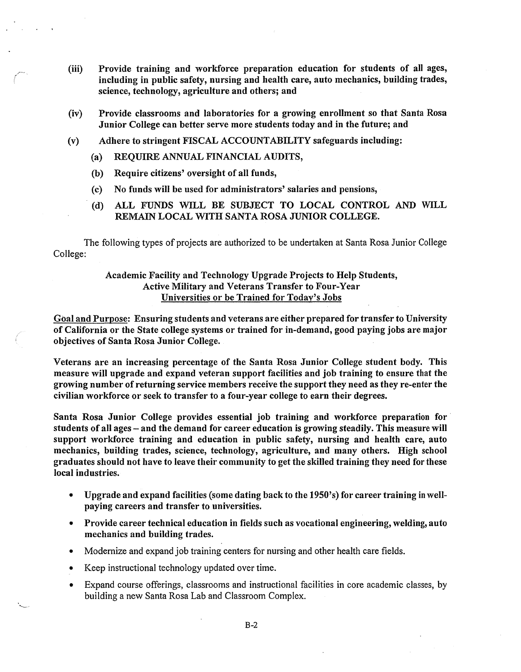- (iii) Provide training and workforce preparation education for students of all ages, including in public safety, nursing and health care, auto mechanics, building trades, science, technology, agriculture and others; and
- (iv) Provide classrooms and laboratories for a growing enrollment so that Santa Rosa Junior College can better serve more students today and in the future; and
- (v) Adhere to stringent FISCAL ACCOUNTABILITY safeguards including:
	- (a) REQUIRE ANNUAL FINANCIAL AUDITS,
	- (b) Require citizens' oversight of all funds,
	- (c) No funds will be used for administrators' salaries and pensions,
	- (d) ALL FUNDS WILL BE SUBJECT TO LOCAL CONTROL AND WILL REMAIN LOCAL WITH SANTA ROSA JUNIOR COLLEGE.

The following types of projects are authorized to be undertaken at Santa Rosa Junior College College:

## Academic Facility and Technology Upgrade Projects to Help Students, Active Military and Veterans Transfer to Four-Year Universities or be Trained for Today's Jobs

Goal and Purpose: Ensuring students and veterans are either prepared for transfer to University of California or the State college systems or trained for in-demand, good paying jobs are major objectives of Santa Rosa Junior College.

Veterans are an increasing percentage of the Santa Rosa Junior College student body. This measure will upgrade and expand veteran support facilities and job training to ensure that the growing number of returning service members receive the support they need as they re-enter the civilian workforce or seek to transfer to a four-year college to earn their degrees.

Santa Rosa Junior College provides essential job training and workforce preparation for students of all ages - and the demand for career education is growing steadily. This measure will support workforce training and education in public safety, nursing and health care, auto mechanics, building trades, science, technology, agriculture, and many others. High school graduates should not have to leave their community to get the skilled training they need for these local industries.

- Upgrade and expand facilities (some dating back to the 1950's) for career training in wellpaying careers and transfer to universities.
- Provide career technical education in fields such as vocational engineering, welding, auto mechanics and building trades.
- Modernize and expand job training centers for nursing and other health care fields.
- Keep instructional technology updated over time.
- Expand course offerings, classrooms and instructional facilities in core academic classes, by building a new Santa Rosa Lab and Classroom Complex.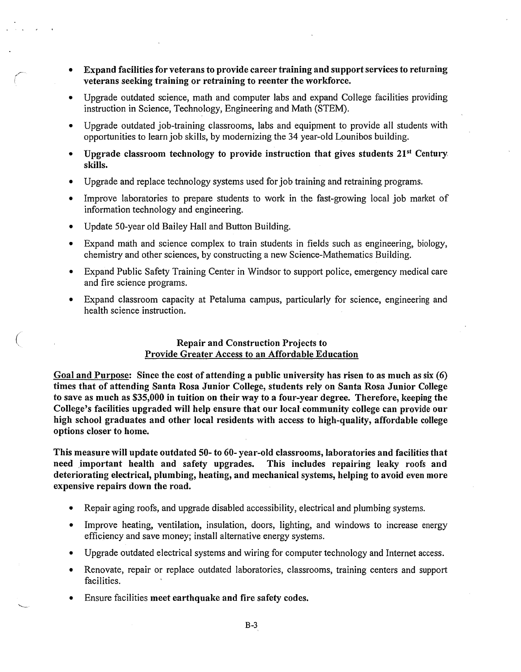- Expand facilities for veterans to provide career training and support services to returning veterans seeking training or retraining to reenter the workforce.
- Upgrade outdated science, math and computer labs and expand College facilities providing instruction in Science, Technology, Engineering and Math (STEM).
- Upgrade outdated job-training classrooms, labs and equipment to provide all students with opportunities to learn job skills, by modernizing the 34 year-old Lounibos building.
- Upgrade classroom technology to provide instruction that gives students  $21^{st}$  Century. skills.
- Upgrade and replace technology systems used for job training and retraining programs.
- Improve laboratories to prepare students to work in the fast-growing local job market of information technology and engineering.
- Update 50-year old Bailey Hall and Button Building.

*C* 

- Expand math and science complex to train students in fields such as engineering, biology, chemistry and other sciences, by constructing a new Science-Mathematics Building.
- Expand Public Safety Training Center in Windsor to support police, emergency medical care and fire science programs.
- Expand classroom capacity at Petaluma campus, particularly for science, engineering and health science instruction.

## Repair and Construction Projects to Provide Greater Access to an Affordable Education

Goal and Purpose: Since the cost of attending a public university has risen to as much as six (6) times that of attending Santa Rosa Junior College, students rely on Santa Rosa Junior College to save as much as \$35,000 in tuition on their way to a four-year degree. Therefore, keeping the College's facilities upgraded will help ensure that our local community college can provide our high school graduates and other local residents with access to high-quality, affordable college options closer to home.

This measure will update outdated 50- to 60- year-old classrooms, laboratories and facilities that need important health and safety upgrades. This includes repairing leaky roofs and deteriorating electrical, plumbing, heating, and mechanical systems, helping to avoid even more expensive repairs down the road.

- Repair aging roofs, and upgrade disabled accessibility, electrical and plumbing systems.
- Improve heating, ventilation, insulation, doors, lighting, and windows to increase energy efficiency and save money; install alternative energy systems.
- Upgrade outdated electrical systems and wiring for computer technology and Internet access.
- Renovate, repair or replace outdated laboratories, classrooms, training centers and support facilities.
- Ensure facilities meet earthquake and fire safety codes.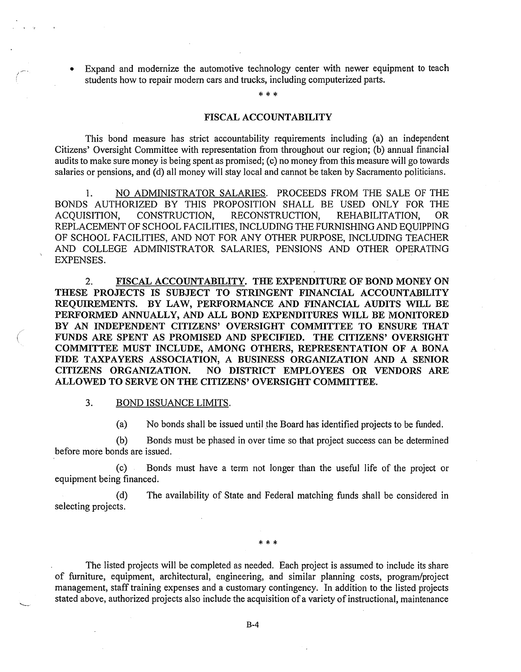Expand and modernize the automotive technology center with newer equipment to teach students how to repair modern cars and trucks, including computerized parts.

\*\*\*

#### FISCAL ACCOUNTABILITY

This bond measure has strict accountability requirements including (a) an independent Citizens' Oversight Committee with representation from throughout our region; (b) annual financial audits to make sure money is being spent as promised; (c) no money from this measure will go towards salaries or pensions, and (d) all money will stay local and cannot be taken by Sacramento politicians.

1. NO ADMINISTRATOR SALARIES. PROCEEDS FROM THE SALE OF THE BONDS AUTHORIZED BY THIS PROPOSITION SHALL BE USED ONLY FOR THE<br>ACQUISITION, CONSTRUCTION, RECONSTRUCTION, REHABILITATION, OR RECONSTRUCTION, REHABILITATION, OR REPLACEMENT OF SCHOOL FACILITIES, INCLUDING THE FURNISHING AND EQUIPPING OF SCHOOL FACILITIES, AND NOT FOR ANY OTHER PURPOSE, INCLUDING TEACHER AND COLLEGE ADMINISTRATOR SALARIES, PENSIONS AND OTHER OPERATING EXPENSES. .

2. FISCAL ACCOUNTABILITY. THE EXPENDITURE OF BOND MONEY ON THESE PROJECTS IS SUBJECT TO STRINGENT FINANCIAL ACCOUNTABILITY REQUIREMENTS. BY LAW, PERFORMANCE AND FINANCIAL AUDITS WILL BE PERFORMED ANNUALLY, AND ALL BOND EXPENDITURES WILL BE MONITORED BY AN INDEPENDENT CITIZENS' OVERSIGHT COMMITTEE TO ENSURE THAT FUNDS ARE SPENT AS PROMISED AND SPECIFIED. THE CITIZENS' OVERSIGHT COMMITTEE MUST INCLUDE, AMONG OTHERS, REPRESENTATION OF A BONA FIDE TAXPAYERS ASSOCIATION, A BUSINESS ORGANIZATION AND A SENIOR CITIZENS ORGANIZATION. NO DISTRICT EMPLOYEES OR VENDORS ARE NO DISTRICT EMPLOYEES OR VENDORS ARE ALLOWED TO SERVE ON THE CITIZENS' OVERSIGHT COMMITTEE.

## 3. BOND ISSUANCE LIMITS.

(a) No bonds shall be issued until the Board has identified projects to be funded.

(b) Bonds must be phased in over time so that project success can be determined before more bonds are issued.

(c) Bonds must have a term not longer than the useful life of the project or equipment being financed.

(d) The availability of State and Federal matching funds shall be considered in selecting projects.

\*\*\*

The listed projects will be completed as needed. Each project is assumed to include its share of furniture, equipment, architectural, engineering, and similar planning costs, program/project management, staff training expenses and a customary contingency. In addition to the listed projects stated above, authorized projects also include the acquisition of a variety of instructional, maintenance

B-4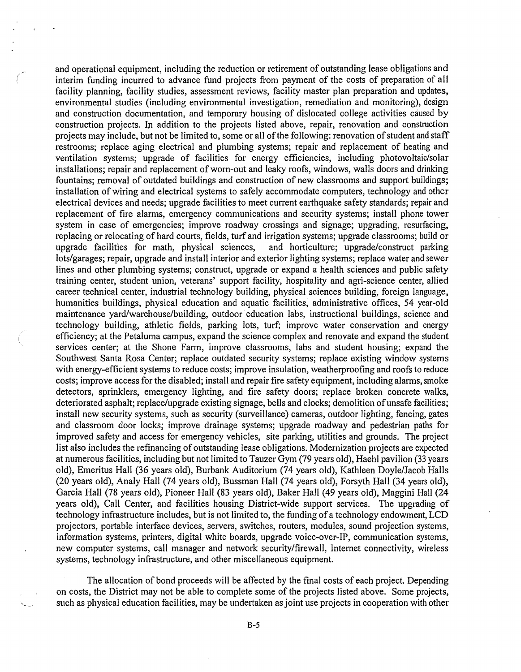and operational equipment, including the reduction or retirement of outstanding lease obligations and interim funding incurred to advance fund projects from payment of the costs of preparation of all facility planning, facility studies, assessment reviews, facility master plan preparation and updates, environmental studies (including environmental investigation, remediation and monitoring), design and construction documentation, and temporary housing of dislocated college activities caused by construction projects. In addition to the projects listed above, repair, renovation and construction projects may include, but not be limited to, some or all of the following: renovation of student and staff restrooms; replace aging electrical and plumbing systems; repair and replacement of heating and ventilation systems; upgrade of facilities for energy efficiencies, including photovoltaic/solar installations; repair and replacement of worn-out and leaky roofs, windows, walls doors and drinking fountains; removal of outdated buildings and construction of new classrooms and support buildings; installation of wiring and electrical systems to safely accommodate computers, technology and other electrical devices and needs; upgrade facilities to meet current earthquake safety standards; repair and replacement of fire alarms, emergency communications and security systems; install phone tower system in case of emergencies; improve roadway crossings and signage; upgrading, resurfacing, replacing or relocating of hard courts, fields, turf and irrigation systems; upgrade classrooms; build or upgrade facilities for math. physical sciences, and horticulture: upgrade/construct parking upgrade facilities for math, physical sciences, lots/garages; repair, upgrade and install interior and exterior lighting systems; replace water and sewer lines and other plumbing systems; construct, upgrade or expand a health sciences and public safety training center, student union, veterans' support facility, hospitality and agri-science center, allied career technical center, industrial technology building, physical sciences building, foreign language, humanities buildings, physical education and aquatic facilities, administrative offices, 54 year-old maintenance yard/warehouse/building, outdoor education labs, instructional buildings, science and technology building, athletic fields, parking lots, turf; improve water conservation and energy efficiency; at the Petaluma campus, expand the science complex and renovate and expand the student services center; at the Shone Farm, improve classrooms, labs and student housing; expand the Southwest Santa Rosa Center; replace outdated security systems; replace existing window systems with energy-efficient systems to reduce costs; improve insulation, weatherproofing and roofs to reduce costs; improve access for the disabled; install and repair fire safety equipment, including alarms, smoke detectors, sprinklers, emergency lighting, and fire safety doors; replace broken concrete walks, deteriorated asphalt; replace/upgrade existing signage, bells and clocks; demolition of unsafe facilities; install new security systems, such as security (surveillance) cameras, outdoor lighting, fencing, gates and classroom door locks; improve drainage systems; upgrade roadway and pedestrian paths for improved safety and access for emergency vehicles, site parking, utilities and grounds. The project list also includes the refinancing of outstanding lease obligations. Modernization projects are expected at numerous facilities, including but not limited to Tauzer Gym (79 years old), Raehl pavilion (33 years old), Emeritus Hall (36 years old), Burbank Auditorium (74 years old), Kathleen Doyle/Jacob Halls (20 years old), Analy Hall (74 years old), Bussman Hall (74 years old), Forsyth Hall (34 years old), Garcia Hall (78 years old), Pioneer Hall (83 years old), Baker Hall (49 years old), Maggini Hall (24 years old), Call Center, and facilities housing District-wide support services. The upgrading of technology infrastructure includes, but is not limited to, the funding of a technology endowment, LCD projectors, portable interface devices, servers, switches, routers, modules, sound projection systems, information systems, printers, digital white boards, upgrade voice-over-IP, communication systems, new computer systems, call manager and network security/firewall, Internet connectivity, wireless systems, technology infrastructure, and other miscellaneous equipment.

The allocation of bond proceeds will be affected by the final costs of each project. Depending on costs, the District may not be able to complete some of the projects listed above. Some projects, such as physical education facilities, may be undertaken as joint use projects in cooperation with other